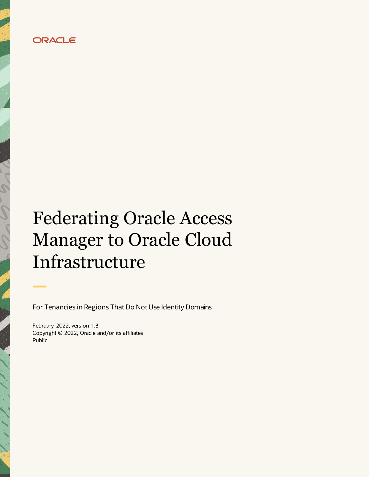

# **Federating Oracle Access Manager to Oracle Cloud** Infrastructure

For Tenancies in Regions That Do Not Use Identity Domains

February 2022, version 1.3 Copyright © 2022, Oracle and/or its affiliates Public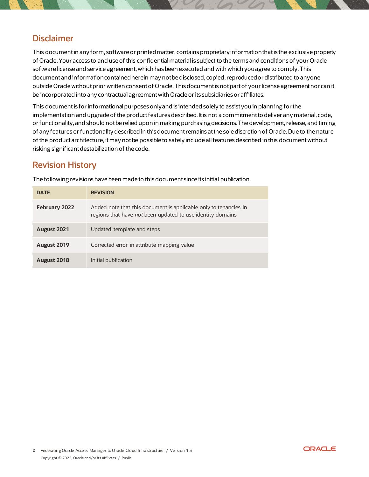## **Disclaimer**

This document in any form, software or printed matter, contains proprietary information that is the exclusive property of Oracle. Your access to and use of this confidential material is subject to the terms and conditions of your Oracle software license and service agreement, which has been executed and with which you agree to comply. This document and information contained herein may not be disclosed, copied, reproduced or distributed to anyone outside Oracle without prior written consent of Oracle. This document is not part of your license agreement nor can it be incorporated into any contractual agreement with Oracle or its subsidiaries or affiliates.

This document is for informational purposes only and is intended solely to assist you in planning for the implementation and upgrade of the product features described. It is not a commitment to deliver any material, code, or functionality, and should not be relied upon in making purchasing decisions. The development, release, and timing of any features or functionality described in this document remains at the sole discretion of Oracle. Due to the nature of the product architecture, it may not be possible to safely include all features described in this document without risking significant destabilization of the code.

## **Revision History**

|  | The following revisions have been made to this document since its initial publication. |
|--|----------------------------------------------------------------------------------------|
|--|----------------------------------------------------------------------------------------|

| <b>DATE</b>          | <b>REVISION</b>                                                                                                                |
|----------------------|--------------------------------------------------------------------------------------------------------------------------------|
| <b>February 2022</b> | Added note that this document is applicable only to tenancies in<br>regions that have not been updated to use identity domains |
| August 2021          | Updated template and steps                                                                                                     |
| August 2019          | Corrected error in attribute mapping value                                                                                     |
| August 2018          | Initial publication                                                                                                            |

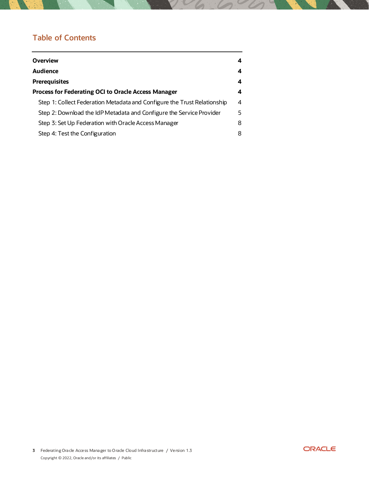## **Table of Contents**

| <b>Overview</b>                                                          | 4 |
|--------------------------------------------------------------------------|---|
| <b>Audience</b>                                                          | 4 |
| <b>Prerequisites</b>                                                     | 4 |
| <b>Process for Federating OCI to Oracle Access Manager</b>               | 4 |
| Step 1: Collect Federation Metadata and Configure the Trust Relationship | 4 |
| Step 2: Download the IdP Metadata and Configure the Service Provider     | 5 |
| Step 3: Set Up Federation with Oracle Access Manager                     | 8 |
| Step 4: Test the Configuration                                           | 8 |

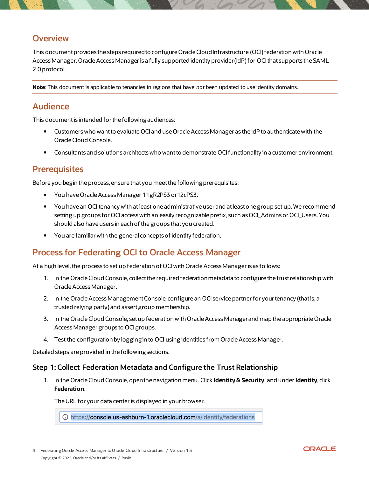#### <span id="page-3-0"></span>**Overview**

This document provides the steps required to configure Oracle Cloud Infrastructure (OCI) federation with Oracle Access Manager. Oracle Access Manager is a fully supported identity provider (IdP) for OCI that supports the SAML 2.0 protocol.

Note: This document is applicable to tenancies in regions that have not been updated to use identity domains.

## <span id="page-3-1"></span>**Audience**

This document is intended for the following audiences:

- $\bullet$ Customers who want to evaluate OCI and use Oracle Access Manager as the IdP to authenticate with the Oracle Cloud Console.
- Consultants and solutions architects who want to demonstrate OCI functionality in a customer environment.

#### <span id="page-3-2"></span>**Prerequisites**

Before you begin the process, ensure that you meet the following prerequisites:

- You have Oracle Access Manager 11gR2PS3 or 12cPS3.
- You have an OCI tenancy with at least one administrative user and at least one group set up. We recommend setting up groups for OCI access with an easily recognizable prefix, such as OCI\_Admins or OCI\_Users. You should also have users in each of the groups that you created.
- You are familiar with the general concepts of identity federation.

## <span id="page-3-3"></span>**Process for Federating OCI to Oracle Access Manager**

At a high level, the process to set up federation of OCI with Oracle Access Manager is as follows:

- 1. In the Oracle Cloud Console, collect the required federation metadata to configure the trust relationship with Oracle Access Manager.
- 2. In the Oracle Access Management Console, configure an OCI service partner for your tenancy (that is, a trusted relying party) and assert group membership.
- 3. In the Oracle Cloud Console, set up federation with Oracle Access Manager and map the appropriate Oracle Access Manager groups to OCI groups.
- 4. Test the configuration by logging in to OCI using identities from Oracle Access Manager.

Detailed steps are provided in the following sections.

#### <span id="page-3-4"></span>Step 1: Collect Federation Metadata and Configure the Trust Relationship

1. In the Oracle Cloud Console, openthe navigation menu. Click Identity & Security, and under Identity, click Federation.

The URL for your data center is displayed in your browser.

1.oracle.us-ashburn-1.oraclecloud.com/a/identity/federations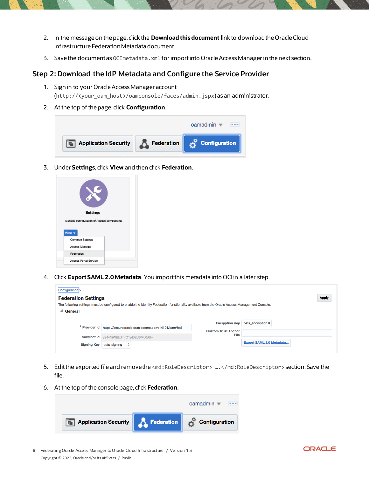- 2. In the message on the page, click the Download this document link to download the Oracle Cloud Infrastructure Federation Metadata document.
- 3. Save the document as OCImetadata. xml for import into Oracle Access Manager in the next section.

#### <span id="page-4-0"></span>Step 2: Download the IdP Metadata and Configure the Service Provider

- 1. Sign in to your Oracle Access Manager account (http://<your\_oam\_host>/oamconsole/faces/admin.jspx)asanadministrator.
- 2. At the top of the page, click **Configuration**.



3. Under Settings, click View and then click Federation.

|        |            |                                           | <b>Settings</b> |  |  |
|--------|------------|-------------------------------------------|-----------------|--|--|
|        |            |                                           |                 |  |  |
|        |            | Manage configuration of Access components |                 |  |  |
|        |            |                                           |                 |  |  |
| View v |            |                                           |                 |  |  |
|        |            | <b>Common Settings</b>                    |                 |  |  |
|        |            | <b>Access Manager</b>                     |                 |  |  |
|        | Federation |                                           |                 |  |  |

4. Click Export SAML 2.0 Metadata. You import this metadata into OCI in a later step.

| Configuration >                          |                                                                                                                                                |                            |                                 |
|------------------------------------------|------------------------------------------------------------------------------------------------------------------------------------------------|----------------------------|---------------------------------|
| <b>Federation Settings</b>               |                                                                                                                                                |                            | <b>Apply</b>                    |
|                                          | The following settings must be configured to enable the Identity Federation functionality available from the Oracle Access Management Console. |                            |                                 |
| General<br>◢                             |                                                                                                                                                |                            |                                 |
|                                          |                                                                                                                                                |                            |                                 |
|                                          |                                                                                                                                                | <b>Encryption Key</b>      | osts_encryption $\hat{\div}$    |
|                                          |                                                                                                                                                | <b>Custom Trust Anchor</b> |                                 |
|                                          |                                                                                                                                                | File                       |                                 |
|                                          |                                                                                                                                                |                            | <b>Export SAML 2.0 Metadata</b> |
|                                          |                                                                                                                                                |                            |                                 |
| <b>Succinct Id</b><br><b>Signing Key</b> | * Provider Id https://secureoracle.oracledemo.com:14101/oam/fed<br>ya4vNiWBlxFhrO1pl0aU6Mu0All=<br>÷<br>osts_signing                           |                            |                                 |

- 5. Edit the exported file and removethe <md: RoleDescriptor> ....</md: RoleDescriptor> section. Save the file.
- 6. At the top of the console page, click Federation.



5 Federating Oracle Access Manager to Oracle Cloud Infrastructure / Version 1.3 Copyright © 2022, Oracle and/or its affiliates / Public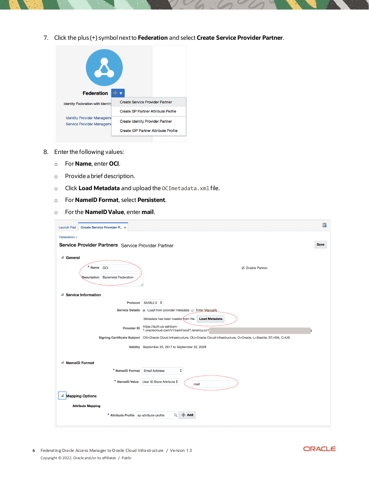7. Click the plus (+) symbol next to Federation and select Create Service Provider Partner.



- 8. Enter the following values:
	- For **Name**, enter **OCI**.
	- Provide a brief description.  $\circ$
	- o Click Load Metadata and upload the OCImetadata. xml file.
	- o For NamelD Format, select Persistent.
	- $\circ$  For the **NamelD Value**, enter **mail**.

| Create Service Provider P ×<br><b>Launch Pad</b>   | 嚴                                                                                                                            |
|----------------------------------------------------|------------------------------------------------------------------------------------------------------------------------------|
| Federation >                                       |                                                                                                                              |
| Service Provider Partners Service Provider Partner | <b>Save</b>                                                                                                                  |
| ▲ General                                          |                                                                                                                              |
| * Name OCI                                         | <b>√</b> Enable Partner                                                                                                      |
| <b>Baremetal Federation</b><br><b>Qescription</b>  |                                                                                                                              |
| <b>Service Information</b><br>◢                    |                                                                                                                              |
| Protocol                                           | SAML2.0 <del>↓</del>                                                                                                         |
|                                                    | Service Details @ Load from provider metadata @ Enter Manually                                                               |
|                                                    | Metadata has been loaded from file.<br><b>Load Metadata</b>                                                                  |
| <b>Provider ID</b>                                 | https://auth.us-ashburn-<br>1.oraclecloud.com/v1/saml/ocid1.tenancy.oc1                                                      |
|                                                    | Signing Certificate Subject CN=Oracle Cloud Infrastructure, OU=Oracle Cloud Infrastructure, O=Oracle, L=Seattle, ST=WA, C=US |
|                                                    | Validity September 25, 2017 to September 22, 2029                                                                            |
|                                                    |                                                                                                                              |
| <b>NamelD Format</b><br>◢                          |                                                                                                                              |
| * NamelD Format                                    | ÷<br><b>Email Address</b>                                                                                                    |
|                                                    | * NamelD Value User ID Store Attribute $\div$<br>mail                                                                        |
| <b>Mapping Options</b><br>◢                        |                                                                                                                              |
| <b>Attribute Mapping</b>                           |                                                                                                                              |
| * Attribute Profile   sp-attribute-profile         | Q<br>$+$ Add                                                                                                                 |

6 Federating Oracle Access Manager to Oracle Cloud Infrastructure / Version 1.3 Copyright © 2022, Oracle and/or its affiliates / Public

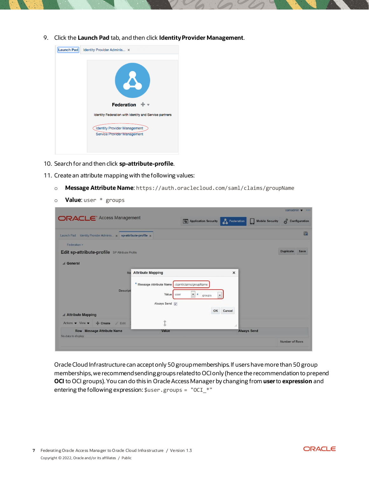9. Click the Launch Pad tab, and then click Identity Provider Management.



- 10. Search for and then click sp-attribute-profile.
- 11. Create an attribute mapping with the following values:
	- Message Attribute Name: https://auth.oraclecloud.com/saml/claims/groupName  $\circ$
	- Value: user \* groups  $\circ$

| <b>ORACLE</b> Access Management<br>Configuration<br>Federation<br><b>Mobile Security</b><br><b>Application Security</b><br>Ш<br>嚴<br>Launch Pad Identity Provider Adminis x sp-attribute-profile x<br>Federation ><br>Duplicate<br>Save<br>Edit sp-attribute-profile SP Attribute Profile<br><b>General</b><br><b>Attribute Mapping</b><br>$\times$<br>Na<br>* Message Attribute Name   /saml/claims/groupName<br><b>Descript</b><br>$\ddot{\phantom{0}}$<br>Value<br>$\star$<br>user<br>groups<br>$\overline{\phantom{a}}$<br>Always Send V<br>OK<br>Cancel<br>Attribute Mapping<br>$\hat{\mathcal{L}}$<br>Actions $\bullet$ View $\bullet$<br>Create<br>/ Edit<br>$\triangle$<br>迪<br><b>Row Message Attribute Name</b><br><b>Always Send</b><br>Value<br>No data to display.<br>Number of Rows |  |  | $o$ amadmin $\blacktriangledown$ | $-$ |
|---------------------------------------------------------------------------------------------------------------------------------------------------------------------------------------------------------------------------------------------------------------------------------------------------------------------------------------------------------------------------------------------------------------------------------------------------------------------------------------------------------------------------------------------------------------------------------------------------------------------------------------------------------------------------------------------------------------------------------------------------------------------------------------------------|--|--|----------------------------------|-----|
|                                                                                                                                                                                                                                                                                                                                                                                                                                                                                                                                                                                                                                                                                                                                                                                                   |  |  |                                  |     |
|                                                                                                                                                                                                                                                                                                                                                                                                                                                                                                                                                                                                                                                                                                                                                                                                   |  |  |                                  |     |
|                                                                                                                                                                                                                                                                                                                                                                                                                                                                                                                                                                                                                                                                                                                                                                                                   |  |  |                                  |     |
|                                                                                                                                                                                                                                                                                                                                                                                                                                                                                                                                                                                                                                                                                                                                                                                                   |  |  |                                  |     |
|                                                                                                                                                                                                                                                                                                                                                                                                                                                                                                                                                                                                                                                                                                                                                                                                   |  |  |                                  |     |
|                                                                                                                                                                                                                                                                                                                                                                                                                                                                                                                                                                                                                                                                                                                                                                                                   |  |  |                                  |     |
|                                                                                                                                                                                                                                                                                                                                                                                                                                                                                                                                                                                                                                                                                                                                                                                                   |  |  |                                  |     |
|                                                                                                                                                                                                                                                                                                                                                                                                                                                                                                                                                                                                                                                                                                                                                                                                   |  |  |                                  |     |
|                                                                                                                                                                                                                                                                                                                                                                                                                                                                                                                                                                                                                                                                                                                                                                                                   |  |  |                                  |     |
|                                                                                                                                                                                                                                                                                                                                                                                                                                                                                                                                                                                                                                                                                                                                                                                                   |  |  |                                  |     |
|                                                                                                                                                                                                                                                                                                                                                                                                                                                                                                                                                                                                                                                                                                                                                                                                   |  |  |                                  |     |
|                                                                                                                                                                                                                                                                                                                                                                                                                                                                                                                                                                                                                                                                                                                                                                                                   |  |  |                                  |     |
|                                                                                                                                                                                                                                                                                                                                                                                                                                                                                                                                                                                                                                                                                                                                                                                                   |  |  |                                  |     |
|                                                                                                                                                                                                                                                                                                                                                                                                                                                                                                                                                                                                                                                                                                                                                                                                   |  |  |                                  |     |
|                                                                                                                                                                                                                                                                                                                                                                                                                                                                                                                                                                                                                                                                                                                                                                                                   |  |  |                                  |     |

Oracle Cloud Infrastructure can accept only 50 group memberships. If users have more than 50 group memberships, we recommend sending groups related to OCI only (hence the recommendation to prepend OCI to OCI groups). You can do this in Oracle Access Manager by changing from user to expression and entering the following expression: \$user.groups = "OCI\_\*"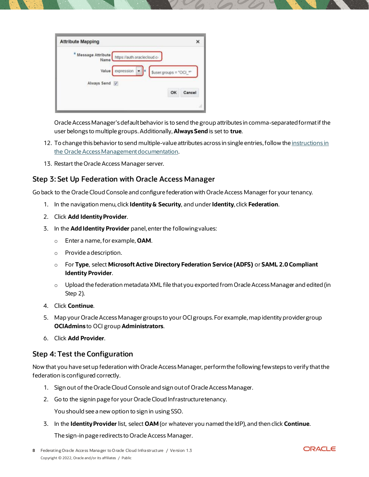| <b>Attribute Mapping</b>             |                                           |           |                        |    | ×      |
|--------------------------------------|-------------------------------------------|-----------|------------------------|----|--------|
| * Message Attribute<br>Name<br>Value | https://auth.oraclecloud.ci<br>expression | $\bullet$ |                        |    |        |
| Always Send V                        |                                           |           | $Suser.groups = "OCI"$ |    |        |
|                                      |                                           |           |                        | OK | Cancel |

Oracle Access Manager's default behavior is to send the group attributes in comma-separated format if the user belongs to multiple groups. Additionally, Always Send is set to true.

- 12. To change this behavior to send multiple-value attributes across in single entries, follow the instructions in the Oracle Access Management documentation.
- 13. Restart the Oracle Access Manager server.

#### <span id="page-7-0"></span>Step 3: Set Up Federation with Oracle Access Manager

Go back to the Oracle Cloud Console and configure federation with Oracle Access Manager for your tenancy.

- 1. In the navigation menu, click Identity & Security, and under Identity, click Federation.
- 2. Click Add Identity Provider.
- 3. In the Add Identity Provider panel, enter the following values:
	- $\circ$  Enter a name, for example, **OAM**.
	- $\circ$  Provide a description.
	- o For Type, select Microsoft Active Directory Federation Service (ADFS) or SAML 2.0 Compliant **Identity Provider.**
	- $\circ$  Upload the federation metadata XML file that you exported from Oracle Access Manager and edited (in Step  $2$ ).
- 4. Click Continue.
- 5. Map your Oracle Access Manager groups to your OCI groups. For example, map identity provider group **OCIAdmins to OCI group Administrators.**
- 6. Click Add Provider.

#### <span id="page-7-1"></span>Step 4: Test the Configuration

Now that you have set up federation with Oracle Access Manager, perform the following few steps to verify that the federation is configured correctly.

- 1. Sign out of the Oracle Cloud Console and sign out of Oracle Access Manager.
- 2. Go to the signin page for your Oracle Cloud Infrastructure tenancy.

You should see a new option to sign in using SSO.

3. In the Identity Provider list, select OAM (or whatever you named the IdP), and then click Continue.

The sign-in page redirects to Oracle Access Manager.